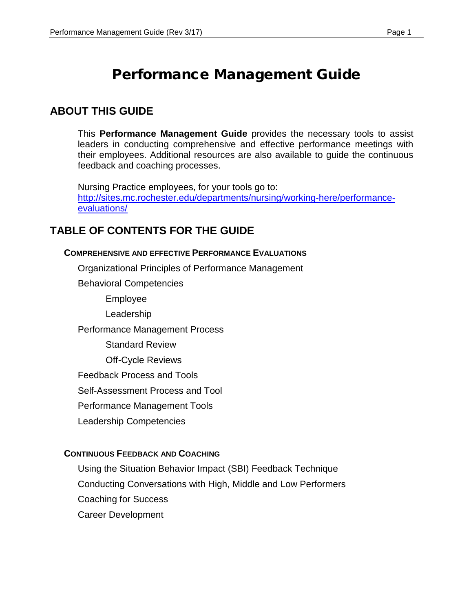# Performance Management Guide

## **ABOUT THIS GUIDE**

This **Performance Management Guide** provides the necessary tools to assist leaders in conducting comprehensive and effective performance meetings with their employees. Additional resources are also available to guide the continuous feedback and coaching processes.

Nursing Practice employees, for your tools go to: [http://sites.mc.rochester.edu/departments/nursing/working-here/performance](http://sites.mc.rochester.edu/departments/nursing/working-here/performance-evaluations/)[evaluations/](http://sites.mc.rochester.edu/departments/nursing/working-here/performance-evaluations/)

## **TABLE OF CONTENTS FOR THE GUIDE**

#### **COMPREHENSIVE AND EFFECTIVE PERFORMANCE EVALUATIONS**

Organizational Principles of Performance Management

Behavioral Competencies

Employee

Leadership

Performance Management Process

Standard Review

Off-Cycle Reviews

Feedback Process and Tools

Self-Assessment Process and Tool

Performance Management Tools

Leadership Competencies

#### **CONTINUOUS FEEDBACK AND COACHING**

Using the Situation Behavior Impact (SBI) Feedback Technique Conducting Conversations with High, Middle and Low Performers Coaching for Success Career Development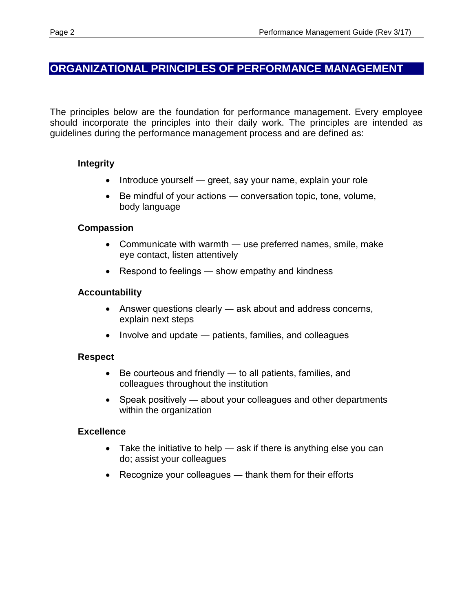## **ORGANIZATIONAL PRINCIPLES OF PERFORMANCE MANAGEMENT**

The principles below are the foundation for performance management. Every employee should incorporate the principles into their daily work. The principles are intended as guidelines during the performance management process and are defined as:

### **Integrity**

- Introduce yourself greet, say your name, explain your role
- Be mindful of your actions ― conversation topic, tone, volume, body language

### **Compassion**

- Communicate with warmth use preferred names, smile, make eye contact, listen attentively
- Respond to feelings show empathy and kindness

### **Accountability**

- Answer questions clearly ask about and address concerns, explain next steps
- Involve and update patients, families, and colleagues

### **Respect**

- Be courteous and friendly to all patients, families, and colleagues throughout the institution
- Speak positively about your colleagues and other departments within the organization

### **Excellence**

- Take the initiative to help ask if there is anything else you can do; assist your colleagues
- Recognize your colleagues thank them for their efforts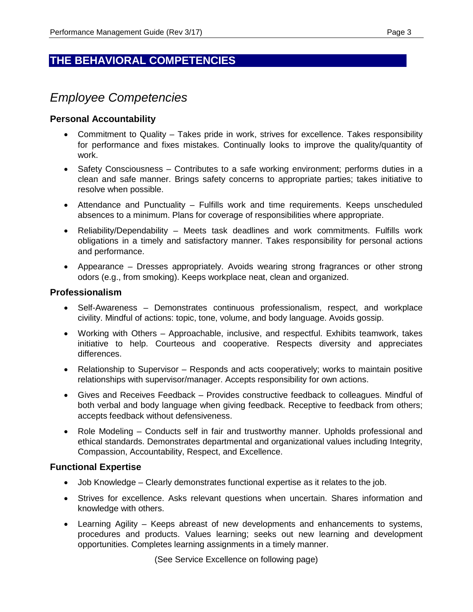## **THE BEHAVIORAL COMPETENCIES**

## *Employee Competencies*

#### **Personal Accountability**

- Commitment to Quality Takes pride in work, strives for excellence. Takes responsibility for performance and fixes mistakes. Continually looks to improve the quality/quantity of work.
- Safety Consciousness Contributes to a safe working environment; performs duties in a clean and safe manner. Brings safety concerns to appropriate parties; takes initiative to resolve when possible.
- Attendance and Punctuality Fulfills work and time requirements. Keeps unscheduled absences to a minimum. Plans for coverage of responsibilities where appropriate.
- Reliability/Dependability Meets task deadlines and work commitments. Fulfills work obligations in a timely and satisfactory manner. Takes responsibility for personal actions and performance.
- Appearance Dresses appropriately. Avoids wearing strong fragrances or other strong odors (e.g., from smoking). Keeps workplace neat, clean and organized.

#### **Professionalism**

- Self-Awareness Demonstrates continuous professionalism, respect, and workplace civility. Mindful of actions: topic, tone, volume, and body language. Avoids gossip.
- Working with Others Approachable, inclusive, and respectful. Exhibits teamwork, takes initiative to help. Courteous and cooperative. Respects diversity and appreciates differences.
- Relationship to Supervisor Responds and acts cooperatively; works to maintain positive relationships with supervisor/manager. Accepts responsibility for own actions.
- Gives and Receives Feedback Provides constructive feedback to colleagues. Mindful of both verbal and body language when giving feedback. Receptive to feedback from others; accepts feedback without defensiveness.
- Role Modeling Conducts self in fair and trustworthy manner. Upholds professional and ethical standards. Demonstrates departmental and organizational values including Integrity, Compassion, Accountability, Respect, and Excellence.

#### **Functional Expertise**

- Job Knowledge Clearly demonstrates functional expertise as it relates to the job.
- Strives for excellence. Asks relevant questions when uncertain. Shares information and knowledge with others.
- Learning Agility Keeps abreast of new developments and enhancements to systems, procedures and products. Values learning; seeks out new learning and development opportunities. Completes learning assignments in a timely manner.

(See Service Excellence on following page)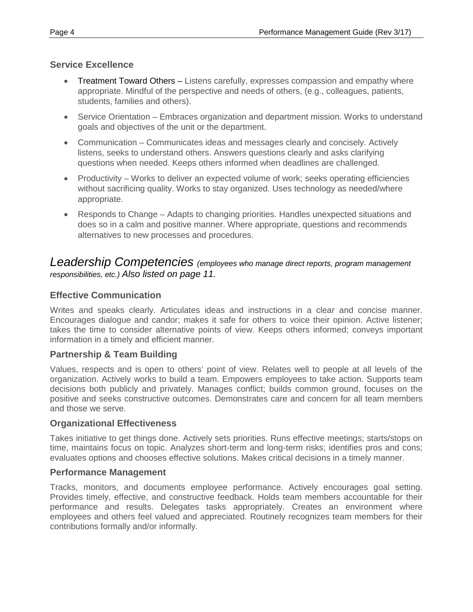### **Service Excellence**

- Treatment Toward Others Listens carefully, expresses compassion and empathy where appropriate. Mindful of the perspective and needs of others, (e.g., colleagues, patients, students, families and others).
- Service Orientation Embraces organization and department mission. Works to understand goals and objectives of the unit or the department.
- Communication Communicates ideas and messages clearly and concisely. Actively listens, seeks to understand others. Answers questions clearly and asks clarifying questions when needed. Keeps others informed when deadlines are challenged.
- Productivity Works to deliver an expected volume of work; seeks operating efficiencies without sacrificing quality. Works to stay organized. Uses technology as needed/where appropriate.
- Responds to Change Adapts to changing priorities. Handles unexpected situations and does so in a calm and positive manner. Where appropriate, questions and recommends alternatives to new processes and procedures.

## *Leadership Competencies (employees who manage direct reports, program management responsibilities, etc.) Also listed on page 11.*

## **Effective Communication**

Writes and speaks clearly. Articulates ideas and instructions in a clear and concise manner. Encourages dialogue and candor; makes it safe for others to voice their opinion. Active listener; takes the time to consider alternative points of view. Keeps others informed; conveys important information in a timely and efficient manner.

### **Partnership & Team Building**

Values, respects and is open to others' point of view. Relates well to people at all levels of the organization. Actively works to build a team. Empowers employees to take action. Supports team decisions both publicly and privately. Manages conflict; builds common ground, focuses on the positive and seeks constructive outcomes. Demonstrates care and concern for all team members and those we serve.

### **Organizational Effectiveness**

Takes initiative to get things done. Actively sets priorities. Runs effective meetings; starts/stops on time, maintains focus on topic. Analyzes short-term and long-term risks; identifies pros and cons; evaluates options and chooses effective solutions. Makes critical decisions in a timely manner.

#### **Performance Management**

Tracks, monitors, and documents employee performance. Actively encourages goal setting. Provides timely, effective, and constructive feedback. Holds team members accountable for their performance and results. Delegates tasks appropriately. Creates an environment where employees and others feel valued and appreciated. Routinely recognizes team members for their contributions formally and/or informally.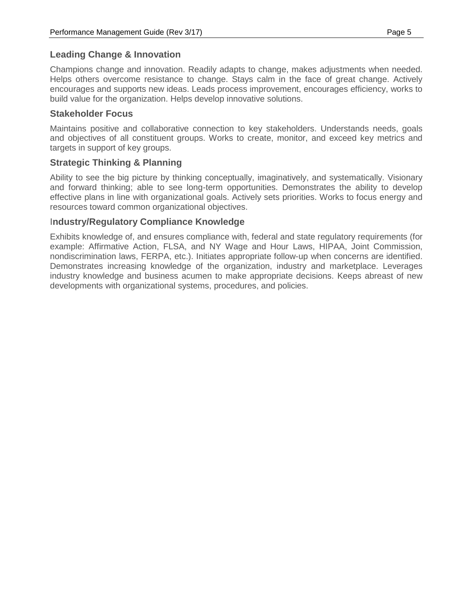Champions change and innovation. Readily adapts to change, makes adjustments when needed. Helps others overcome resistance to change. Stays calm in the face of great change. Actively encourages and supports new ideas. Leads process improvement, encourages efficiency, works to build value for the organization. Helps develop innovative solutions.

#### **Stakeholder Focus**

Maintains positive and collaborative connection to key stakeholders. Understands needs, goals and objectives of all constituent groups. Works to create, monitor, and exceed key metrics and targets in support of key groups.

### **Strategic Thinking & Planning**

Ability to see the big picture by thinking conceptually, imaginatively, and systematically. Visionary and forward thinking; able to see long-term opportunities. Demonstrates the ability to develop effective plans in line with organizational goals. Actively sets priorities. Works to focus energy and resources toward common organizational objectives.

#### I**ndustry/Regulatory Compliance Knowledge**

Exhibits knowledge of, and ensures compliance with, federal and state regulatory requirements (for example: Affirmative Action, FLSA, and NY Wage and Hour Laws, HIPAA, Joint Commission, nondiscrimination laws, FERPA, etc.). Initiates appropriate follow-up when concerns are identified. Demonstrates increasing knowledge of the organization, industry and marketplace. Leverages industry knowledge and business acumen to make appropriate decisions. Keeps abreast of new developments with organizational systems, procedures, and policies.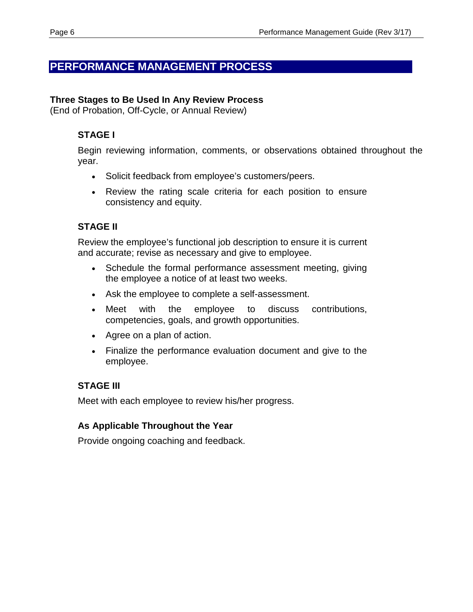## **PERFORMANCE MANAGEMENT PROCESS**

#### **Three Stages to Be Used In Any Review Process**

(End of Probation, Off-Cycle, or Annual Review)

### **STAGE I**

Begin reviewing information, comments, or observations obtained throughout the year.

- Solicit feedback from employee's customers/peers.
- Review the rating scale criteria for each position to ensure consistency and equity.

## **STAGE II**

Review the employee's functional job description to ensure it is current and accurate; revise as necessary and give to employee.

- Schedule the formal performance assessment meeting, giving the employee a notice of at least two weeks.
- Ask the employee to complete a self-assessment.
- Meet with the employee to discuss contributions, competencies, goals, and growth opportunities.
- Agree on a plan of action.
- Finalize the performance evaluation document and give to the employee.

## **STAGE III**

Meet with each employee to review his/her progress.

### **As Applicable Throughout the Year**

Provide ongoing coaching and feedback.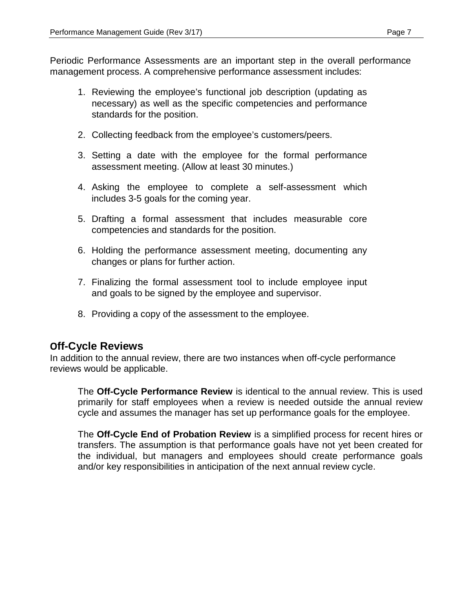Periodic Performance Assessments are an important step in the overall performance management process. A comprehensive performance assessment includes:

- 1. Reviewing the employee's functional job description (updating as necessary) as well as the specific competencies and performance standards for the position.
- 2. Collecting feedback from the employee's customers/peers.
- 3. Setting a date with the employee for the formal performance assessment meeting. (Allow at least 30 minutes.)
- 4. Asking the employee to complete a self-assessment which includes 3-5 goals for the coming year.
- 5. Drafting a formal assessment that includes measurable core competencies and standards for the position.
- 6. Holding the performance assessment meeting, documenting any changes or plans for further action.
- 7. Finalizing the formal assessment tool to include employee input and goals to be signed by the employee and supervisor.
- 8. Providing a copy of the assessment to the employee.

## **Off-Cycle Reviews**

In addition to the annual review, there are two instances when off-cycle performance reviews would be applicable.

The **Off-Cycle Performance Review** is identical to the annual review. This is used primarily for staff employees when a review is needed outside the annual review cycle and assumes the manager has set up performance goals for the employee.

The **Off-Cycle End of Probation Review** is a simplified process for recent hires or transfers. The assumption is that performance goals have not yet been created for the individual, but managers and employees should create performance goals and/or key responsibilities in anticipation of the next annual review cycle.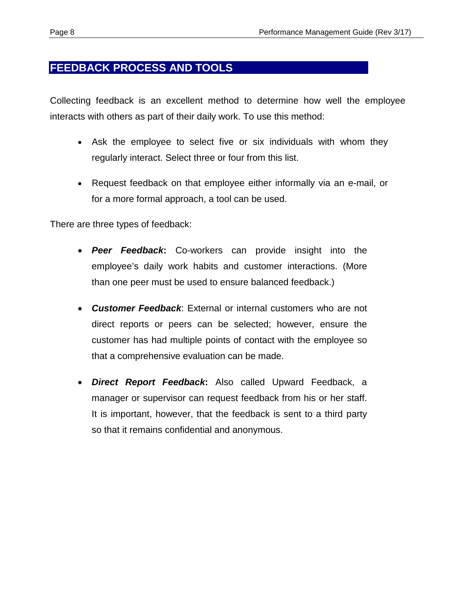## **FEEDBACK PROCESS AND TOOLS**

Collecting feedback is an excellent method to determine how well the employee interacts with others as part of their daily work. To use this method:

- Ask the employee to select five or six individuals with whom they regularly interact. Select three or four from this list.
- Request feedback on that employee either informally via an e-mail, or for a more formal approach, a tool can be used.

There are three types of feedback:

- *Peer Feedback***:** Co-workers can provide insight into the employee's daily work habits and customer interactions. (More than one peer must be used to ensure balanced feedback.)
- *Customer Feedback*: External or internal customers who are not direct reports or peers can be selected; however, ensure the customer has had multiple points of contact with the employee so that a comprehensive evaluation can be made.
- *Direct Report Feedback***:** Also called Upward Feedback, a manager or supervisor can request feedback from his or her staff. It is important, however, that the feedback is sent to a third party so that it remains confidential and anonymous.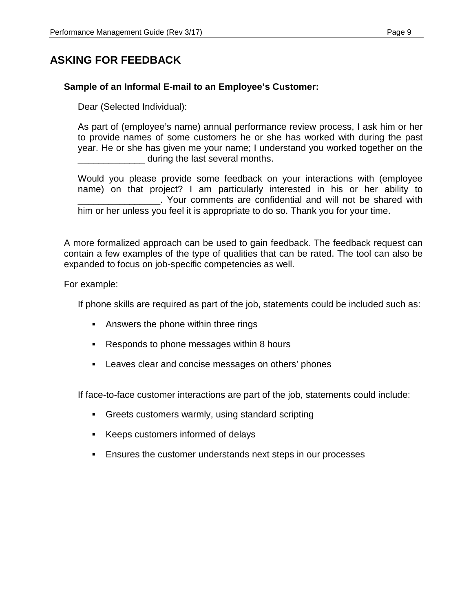## **ASKING FOR FEEDBACK**

#### **Sample of an Informal E-mail to an Employee's Customer:**

Dear (Selected Individual):

As part of (employee's name) annual performance review process, I ask him or her to provide names of some customers he or she has worked with during the past year. He or she has given me your name; I understand you worked together on the during the last several months.

Would you please provide some feedback on your interactions with (employee name) on that project? I am particularly interested in his or her ability to \_\_\_\_\_\_\_\_\_\_\_\_\_\_\_\_. Your comments are confidential and will not be shared with him or her unless you feel it is appropriate to do so. Thank you for your time.

A more formalized approach can be used to gain feedback. The feedback request can contain a few examples of the type of qualities that can be rated. The tool can also be expanded to focus on job-specific competencies as well.

For example:

If phone skills are required as part of the job, statements could be included such as:

- Answers the phone within three rings
- Responds to phone messages within 8 hours
- Leaves clear and concise messages on others' phones

If face-to-face customer interactions are part of the job, statements could include:

- Greets customers warmly, using standard scripting
- Keeps customers informed of delays
- Ensures the customer understands next steps in our processes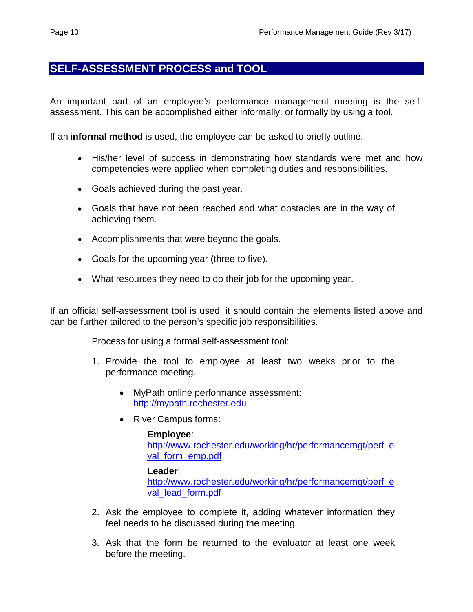## **SELF-ASSESSMENT PROCESS and TOOL**

An important part of an employee's performance management meeting is the selfassessment. This can be accomplished either informally, or formally by using a tool.

If an i**nformal method** is used, the employee can be asked to briefly outline:

- His/her level of success in demonstrating how standards were met and how competencies were applied when completing duties and responsibilities.
- Goals achieved during the past year.
- Goals that have not been reached and what obstacles are in the way of achieving them.
- Accomplishments that were beyond the goals.
- Goals for the upcoming year (three to five).
- What resources they need to do their job for the upcoming year.

If an official self-assessment tool is used, it should contain the elements listed above and can be further tailored to the person's specific job responsibilities.

Process for using a formal self-assessment tool:

- 1. Provide the tool to employee at least two weeks prior to the performance meeting.
	- MyPath online performance assessment: [http://mypath.rochester.edu](http://mypath.rochester.edu/)
	- River Campus forms:

#### **Employee**:

[http://www.rochester.edu/working/hr/performancemgt/perf\\_e](http://www.rochester.edu/working/hr/performancemgt/perf_eval_form_emp.pdf) [val\\_form\\_emp.pdf](http://www.rochester.edu/working/hr/performancemgt/perf_eval_form_emp.pdf)

#### **Leader**:

[http://www.rochester.edu/working/hr/performancemgt/perf\\_e](http://www.rochester.edu/working/hr/performancemgt/perf_eval_lead_form.pdf) [val\\_lead\\_form.pdf](http://www.rochester.edu/working/hr/performancemgt/perf_eval_lead_form.pdf)

- 2. Ask the employee to complete it, adding whatever information they feel needs to be discussed during the meeting.
- 3. Ask that the form be returned to the evaluator at least one week before the meeting.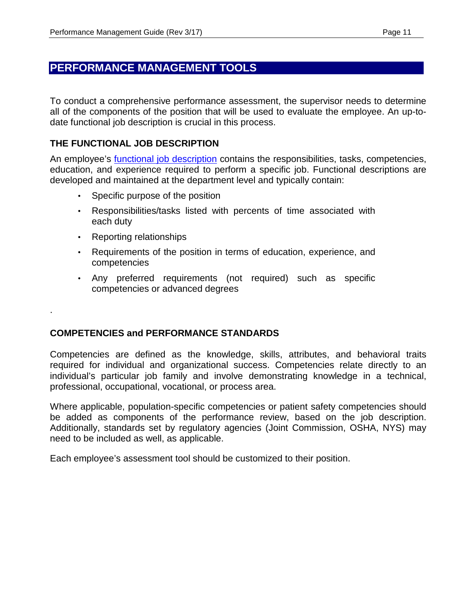## **PERFORMANCE MANAGEMENT TOOLS**

To conduct a comprehensive performance assessment, the supervisor needs to determine all of the components of the position that will be used to evaluate the employee. An up-todate functional job description is crucial in this process.

### **THE FUNCTIONAL JOB DESCRIPTION**

An employee's [functional job description](http://www.rochester.edu/working/hr/employment/forms) contains the responsibilities, tasks, competencies, education, and experience required to perform a specific job. Functional descriptions are developed and maintained at the department level and typically contain:

- Specific purpose of the position
- Responsibilities/tasks listed with percents of time associated with each duty
- Reporting relationships

.

- Requirements of the position in terms of education, experience, and competencies
- Any preferred requirements (not required) such as specific competencies or advanced degrees

### **COMPETENCIES and PERFORMANCE STANDARDS**

Competencies are defined as the knowledge, skills, attributes, and behavioral traits required for individual and organizational success. Competencies relate directly to an individual's particular job family and involve demonstrating knowledge in a technical, professional, occupational, vocational, or process area.

Where applicable, population-specific competencies or patient safety competencies should be added as components of the performance review, based on the job description. Additionally, standards set by regulatory agencies (Joint Commission, OSHA, NYS) may need to be included as well, as applicable.

Each employee's assessment tool should be customized to their position.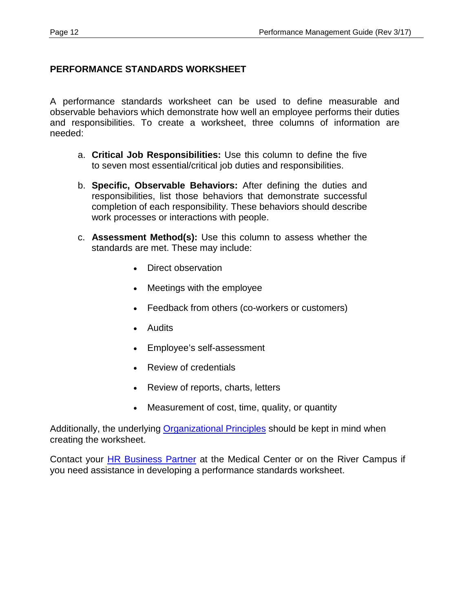### **PERFORMANCE STANDARDS WORKSHEET**

A performance standards worksheet can be used to define measurable and observable behaviors which demonstrate how well an employee performs their duties and responsibilities. To create a worksheet, three columns of information are needed:

- a. **Critical Job Responsibilities:** Use this column to define the five to seven most essential/critical job duties and responsibilities.
- b. **Specific, Observable Behaviors:** After defining the duties and responsibilities, list those behaviors that demonstrate successful completion of each responsibility. These behaviors should describe work processes or interactions with people.
- c. **Assessment Method(s):** Use this column to assess whether the standards are met. These may include:
	- Direct observation
	- Meetings with the employee
	- Feedback from others (co-workers or customers)
	- Audits
	- Employee's self-assessment
	- Review of credentials
	- Review of reports, charts, letters
	- Measurement of cost, time, quality, or quantity

Additionally, the underlying [Organizational Principles](http://sites.mc.rochester.edu/departments/pfcc/) should be kept in mind when creating the worksheet.

Contact your [HR Business Partner](http://www.rochester.edu/working/hr/contact/contact_list.html) at the Medical Center or on the River Campus if you need assistance in developing a performance standards worksheet.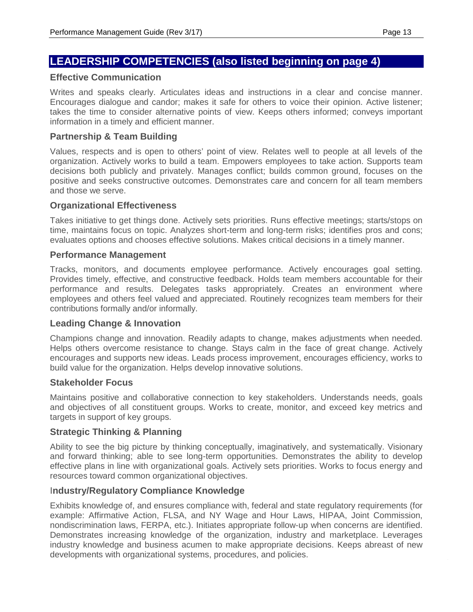## **LEADERSHIP COMPETENCIES (also listed beginning on page 4)**

#### **Effective Communication**

Writes and speaks clearly. Articulates ideas and instructions in a clear and concise manner. Encourages dialogue and candor; makes it safe for others to voice their opinion. Active listener; takes the time to consider alternative points of view. Keeps others informed; conveys important information in a timely and efficient manner.

#### **Partnership & Team Building**

Values, respects and is open to others' point of view. Relates well to people at all levels of the organization. Actively works to build a team. Empowers employees to take action. Supports team decisions both publicly and privately. Manages conflict; builds common ground, focuses on the positive and seeks constructive outcomes. Demonstrates care and concern for all team members and those we serve.

#### **Organizational Effectiveness**

Takes initiative to get things done. Actively sets priorities. Runs effective meetings; starts/stops on time, maintains focus on topic. Analyzes short-term and long-term risks; identifies pros and cons; evaluates options and chooses effective solutions. Makes critical decisions in a timely manner.

#### **Performance Management**

Tracks, monitors, and documents employee performance. Actively encourages goal setting. Provides timely, effective, and constructive feedback. Holds team members accountable for their performance and results. Delegates tasks appropriately. Creates an environment where employees and others feel valued and appreciated. Routinely recognizes team members for their contributions formally and/or informally.

#### **Leading Change & Innovation**

Champions change and innovation. Readily adapts to change, makes adjustments when needed. Helps others overcome resistance to change. Stays calm in the face of great change. Actively encourages and supports new ideas. Leads process improvement, encourages efficiency, works to build value for the organization. Helps develop innovative solutions.

#### **Stakeholder Focus**

Maintains positive and collaborative connection to key stakeholders. Understands needs, goals and objectives of all constituent groups. Works to create, monitor, and exceed key metrics and targets in support of key groups.

#### **Strategic Thinking & Planning**

Ability to see the big picture by thinking conceptually, imaginatively, and systematically. Visionary and forward thinking; able to see long-term opportunities. Demonstrates the ability to develop effective plans in line with organizational goals. Actively sets priorities. Works to focus energy and resources toward common organizational objectives.

#### I**ndustry/Regulatory Compliance Knowledge**

Exhibits knowledge of, and ensures compliance with, federal and state regulatory requirements (for example: Affirmative Action, FLSA, and NY Wage and Hour Laws, HIPAA, Joint Commission, nondiscrimination laws, FERPA, etc.). Initiates appropriate follow-up when concerns are identified. Demonstrates increasing knowledge of the organization, industry and marketplace. Leverages industry knowledge and business acumen to make appropriate decisions. Keeps abreast of new developments with organizational systems, procedures, and policies.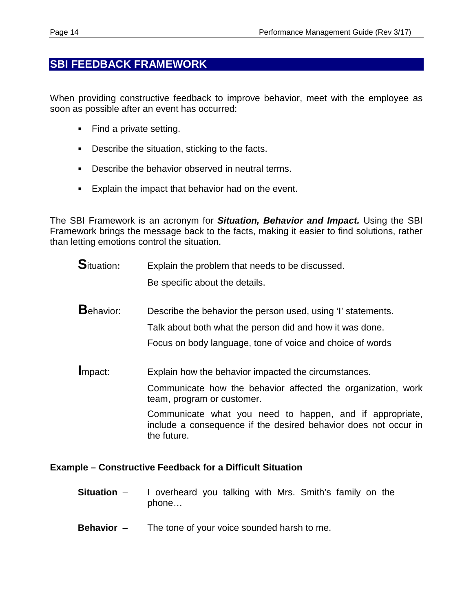## **SBI FEEDBACK FRAMEWORK**

When providing constructive feedback to improve behavior, meet with the employee as soon as possible after an event has occurred:

- Find a private setting.
- Describe the situation, sticking to the facts.
- Describe the behavior observed in neutral terms.
- **Explain the impact that behavior had on the event.**

The SBI Framework is an acronym for *Situation, Behavior and Impact.* Using the SBI Framework brings the message back to the facts, making it easier to find solutions, rather than letting emotions control the situation.

- **S**ituation: Explain the problem that needs to be discussed. Be specific about the details.
- **B**ehavior: Describe the behavior the person used, using 'I' statements. Talk about both what the person did and how it was done. Focus on body language, tone of voice and choice of words

**I**mpact: Explain how the behavior impacted the circumstances.

Communicate how the behavior affected the organization, work team, program or customer.

Communicate what you need to happen, and if appropriate, include a consequence if the desired behavior does not occur in the future.

#### **Example – Constructive Feedback for a Difficult Situation**

- **Situation**  I overheard you talking with Mrs. Smith's family on the phone…
- **Behavior**  The tone of your voice sounded harsh to me.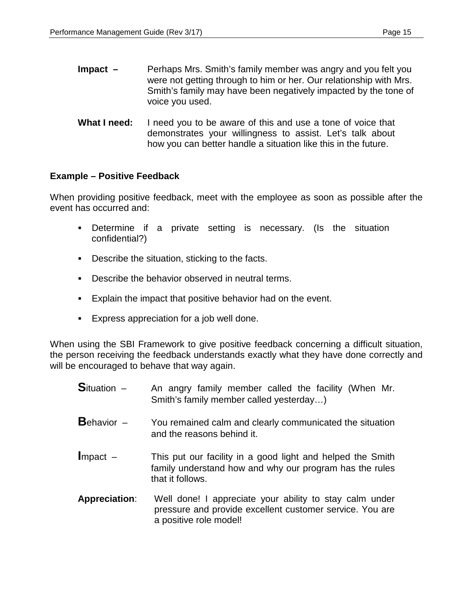**What I need:** I need you to be aware of this and use a tone of voice that demonstrates your willingness to assist. Let's talk about how you can better handle a situation like this in the future.

### **Example – Positive Feedback**

When providing positive feedback, meet with the employee as soon as possible after the event has occurred and:

- Determine if a private setting is necessary. (Is the situation confidential?)
- **Describe the situation, sticking to the facts.**
- Describe the behavior observed in neutral terms.
- **Explain the impact that positive behavior had on the event.**
- Express appreciation for a job well done.

When using the SBI Framework to give positive feedback concerning a difficult situation, the person receiving the feedback understands exactly what they have done correctly and will be encouraged to behave that way again.

- **S**ituation An angry family member called the facility (When Mr. Smith's family member called yesterday…)
- **B**ehavior You remained calm and clearly communicated the situation and the reasons behind it.
- **Impact This put our facility in a good light and helped the Smith** family understand how and why our program has the rules that it follows.
- **Appreciation**: Well done! I appreciate your ability to stay calm under pressure and provide excellent customer service. You are a positive role model!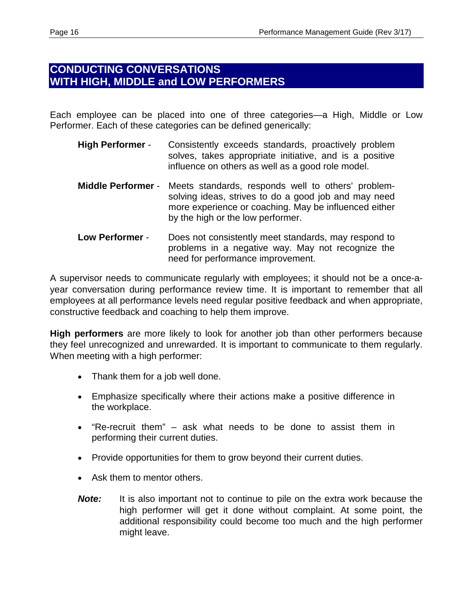## **CONDUCTING CONVERSATIONS WITH HIGH, MIDDLE and LOW PERFORMERS**

Each employee can be placed into one of three categories—a High, Middle or Low Performer. Each of these categories can be defined generically:

- **High Performer** Consistently exceeds standards, proactively problem solves, takes appropriate initiative, and is a positive influence on others as well as a good role model.
- **Middle Performer** Meets standards, responds well to others' problemsolving ideas, strives to do a good job and may need more experience or coaching. May be influenced either by the high or the low performer.
- **Low Performer** Does not consistently meet standards, may respond to problems in a negative way. May not recognize the need for performance improvement.

A supervisor needs to communicate regularly with employees; it should not be a once-ayear conversation during performance review time. It is important to remember that all employees at all performance levels need regular positive feedback and when appropriate, constructive feedback and coaching to help them improve.

**High performers** are more likely to look for another job than other performers because they feel unrecognized and unrewarded. It is important to communicate to them regularly. When meeting with a high performer:

- Thank them for a job well done.
- Emphasize specifically where their actions make a positive difference in the workplace.
- "Re-recruit them" ask what needs to be done to assist them in performing their current duties.
- Provide opportunities for them to grow beyond their current duties.
- Ask them to mentor others.
- *Note:* It is also important not to continue to pile on the extra work because the high performer will get it done without complaint. At some point, the additional responsibility could become too much and the high performer might leave.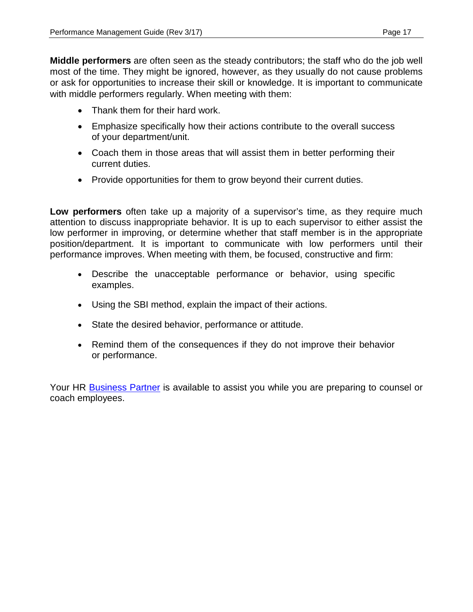**Middle performers** are often seen as the steady contributors; the staff who do the job well most of the time. They might be ignored, however, as they usually do not cause problems or ask for opportunities to increase their skill or knowledge. It is important to communicate with middle performers regularly. When meeting with them:

- Thank them for their hard work.
- Emphasize specifically how their actions contribute to the overall success of your department/unit.
- Coach them in those areas that will assist them in better performing their current duties.
- Provide opportunities for them to grow beyond their current duties.

**Low performers** often take up a majority of a supervisor's time, as they require much attention to discuss inappropriate behavior. It is up to each supervisor to either assist the low performer in improving, or determine whether that staff member is in the appropriate position/department. It is important to communicate with low performers until their performance improves. When meeting with them, be focused, constructive and firm:

- Describe the unacceptable performance or behavior, using specific examples.
- Using the SBI method, explain the impact of their actions.
- State the desired behavior, performance or attitude.
- Remind them of the consequences if they do not improve their behavior or performance.

Your HR [Business Partner](http://www.rochester.edu/working/hr/contact/contact_list.html) is available to assist you while you are preparing to counsel or coach employees.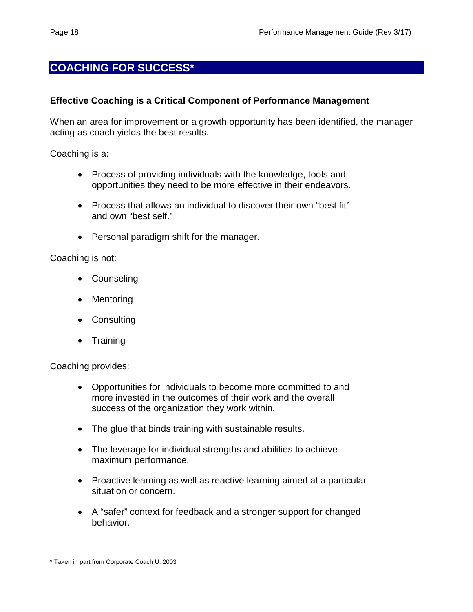## **COACHING FOR SUCCESS\***

#### **Effective Coaching is a Critical Component of Performance Management**

When an area for improvement or a growth opportunity has been identified, the manager acting as coach yields the best results.

Coaching is a:

- Process of providing individuals with the knowledge, tools and opportunities they need to be more effective in their endeavors.
- Process that allows an individual to discover their own "best fit" and own "best self."
- Personal paradigm shift for the manager.

Coaching is not:

- **Counseling**
- **Mentoring**
- Consulting
- Training

Coaching provides:

- Opportunities for individuals to become more committed to and more invested in the outcomes of their work and the overall success of the organization they work within.
- The glue that binds training with sustainable results.
- The leverage for individual strengths and abilities to achieve maximum performance.
- Proactive learning as well as reactive learning aimed at a particular situation or concern.
- A "safer" context for feedback and a stronger support for changed behavior.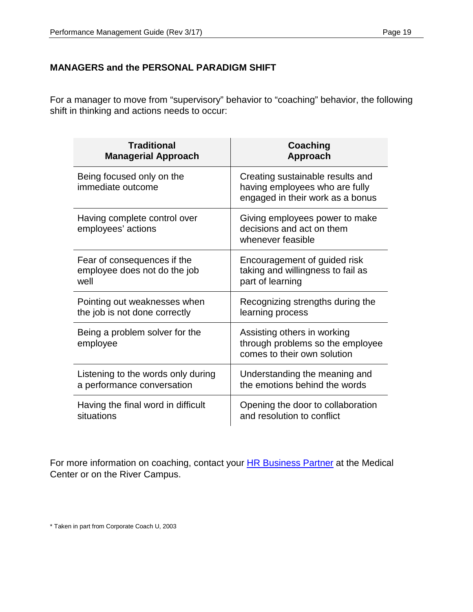### **MANAGERS and the PERSONAL PARADIGM SHIFT**

For a manager to move from "supervisory" behavior to "coaching" behavior, the following shift in thinking and actions needs to occur:

| <b>Traditional</b>                                 | Coaching                                                                                               |
|----------------------------------------------------|--------------------------------------------------------------------------------------------------------|
| <b>Managerial Approach</b>                         | Approach                                                                                               |
| Being focused only on the<br>immediate outcome     | Creating sustainable results and<br>having employees who are fully<br>engaged in their work as a bonus |
| Having complete control over<br>employees' actions | Giving employees power to make<br>decisions and act on them<br>whenever feasible                       |
| Fear of consequences if the                        | Encouragement of guided risk                                                                           |
| employee does not do the job                       | taking and willingness to fail as                                                                      |
| well                                               | part of learning                                                                                       |
| Pointing out weaknesses when                       | Recognizing strengths during the                                                                       |
| the job is not done correctly                      | learning process                                                                                       |
| Being a problem solver for the<br>employee         | Assisting others in working<br>through problems so the employee<br>comes to their own solution         |
| Listening to the words only during                 | Understanding the meaning and                                                                          |
| a performance conversation                         | the emotions behind the words                                                                          |
| Having the final word in difficult                 | Opening the door to collaboration                                                                      |
| situations                                         | and resolution to conflict                                                                             |

For more information on coaching, contact your **HR Business Partner** at the Medical Center or on the River Campus.

\* Taken in part from Corporate Coach U, 2003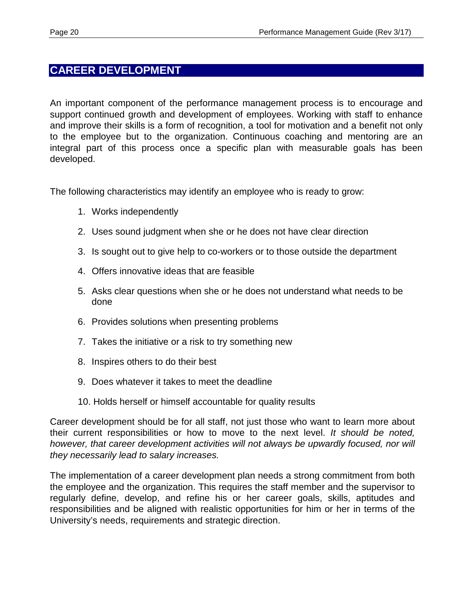## **CAREER DEVELOPMENT**

An important component of the performance management process is to encourage and support continued growth and development of employees. Working with staff to enhance and improve their skills is a form of recognition, a tool for motivation and a benefit not only to the employee but to the organization. Continuous coaching and mentoring are an integral part of this process once a specific plan with measurable goals has been developed.

The following characteristics may identify an employee who is ready to grow:

- 1. Works independently
- 2. Uses sound judgment when she or he does not have clear direction
- 3. Is sought out to give help to co-workers or to those outside the department
- 4. Offers innovative ideas that are feasible
- 5. Asks clear questions when she or he does not understand what needs to be done
- 6. Provides solutions when presenting problems
- 7. Takes the initiative or a risk to try something new
- 8. Inspires others to do their best
- 9. Does whatever it takes to meet the deadline
- 10. Holds herself or himself accountable for quality results

Career development should be for all staff, not just those who want to learn more about their current responsibilities or how to move to the next level. *It should be noted, however, that career development activities will not always be upwardly focused, nor will they necessarily lead to salary increases.* 

The implementation of a career development plan needs a strong commitment from both the employee and the organization. This requires the staff member and the supervisor to regularly define, develop, and refine his or her career goals, skills, aptitudes and responsibilities and be aligned with realistic opportunities for him or her in terms of the University's needs, requirements and strategic direction.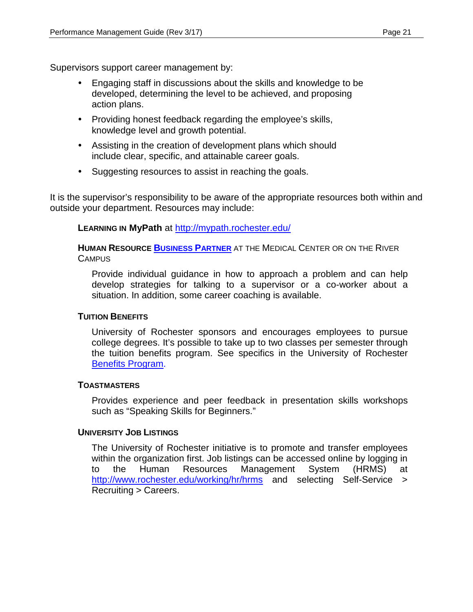Supervisors support career management by:

- Engaging staff in discussions about the skills and knowledge to be developed, determining the level to be achieved, and proposing action plans.
- Providing honest feedback regarding the employee's skills, knowledge level and growth potential.
- Assisting in the creation of development plans which should include clear, specific, and attainable career goals.
- Suggesting resources to assist in reaching the goals.

It is the supervisor's responsibility to be aware of the appropriate resources both within and outside your department. Resources may include:

**LEARNING IN MyPath** at<http://mypath.rochester.edu/>

**HUMAN RESOURCE [BUSINESS PARTNER](http://www.rochester.edu/working/hr/contact/contact_list.html)** AT THE MEDICAL CENTER OR ON THE RIVER **CAMPUS** 

Provide individual guidance in how to approach a problem and can help develop strategies for talking to a supervisor or a co-worker about a situation. In addition, some career coaching is available.

#### **TUITION BENEFITS**

University of Rochester sponsors and encourages employees to pursue college degrees. It's possible to take up to two classes per semester through the tuition benefits program. See specifics in the University of Rochester [Benefits Program.](http://www.rochester.edu/working/hr/benefits/tuition/)

#### **TOASTMASTERS**

Provides experience and peer feedback in presentation skills workshops such as "Speaking Skills for Beginners."

#### **UNIVERSITY JOB LISTINGS**

The University of Rochester initiative is to promote and transfer employees within the organization first. Job listings can be accessed online by logging in<br>to the Human Resources Management System (HRMS) at to the Human Resources Management System (HRMS) at <http://www.rochester.edu/working/hr/hrms> and selecting Self-Service > Recruiting > Careers.